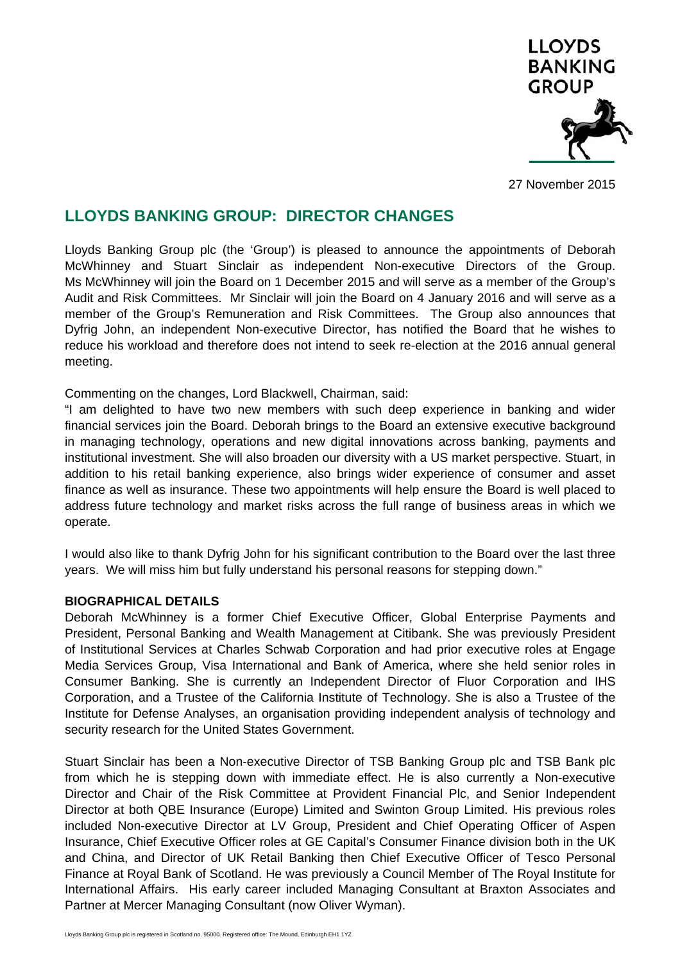

27 November 2015

# **LLOYDS BANKING GROUP: DIRECTOR CHANGES**

Lloyds Banking Group plc (the 'Group') is pleased to announce the appointments of Deborah McWhinney and Stuart Sinclair as independent Non-executive Directors of the Group. Ms McWhinney will join the Board on 1 December 2015 and will serve as a member of the Group's Audit and Risk Committees. Mr Sinclair will join the Board on 4 January 2016 and will serve as a member of the Group's Remuneration and Risk Committees. The Group also announces that Dyfrig John, an independent Non-executive Director, has notified the Board that he wishes to reduce his workload and therefore does not intend to seek re-election at the 2016 annual general meeting.

Commenting on the changes, Lord Blackwell, Chairman, said:

"I am delighted to have two new members with such deep experience in banking and wider financial services join the Board. Deborah brings to the Board an extensive executive background in managing technology, operations and new digital innovations across banking, payments and institutional investment. She will also broaden our diversity with a US market perspective. Stuart, in addition to his retail banking experience, also brings wider experience of consumer and asset finance as well as insurance. These two appointments will help ensure the Board is well placed to address future technology and market risks across the full range of business areas in which we operate.

I would also like to thank Dyfrig John for his significant contribution to the Board over the last three years. We will miss him but fully understand his personal reasons for stepping down."

### **BIOGRAPHICAL DETAILS**

Deborah McWhinney is a former Chief Executive Officer, Global Enterprise Payments and President, Personal Banking and Wealth Management at Citibank. She was previously President of Institutional Services at Charles Schwab Corporation and had prior executive roles at Engage Media Services Group, Visa International and Bank of America, where she held senior roles in Consumer Banking. She is currently an Independent Director of Fluor Corporation and IHS Corporation, and a Trustee of the California Institute of Technology. She is also a Trustee of the Institute for Defense Analyses, an organisation providing independent analysis of technology and security research for the United States Government.

Stuart Sinclair has been a Non-executive Director of TSB Banking Group plc and TSB Bank plc from which he is stepping down with immediate effect. He is also currently a Non-executive Director and Chair of the Risk Committee at Provident Financial Plc, and Senior Independent Director at both QBE Insurance (Europe) Limited and Swinton Group Limited. His previous roles included Non-executive Director at LV Group, President and Chief Operating Officer of Aspen Insurance, Chief Executive Officer roles at GE Capital's Consumer Finance division both in the UK and China, and Director of UK Retail Banking then Chief Executive Officer of Tesco Personal Finance at Royal Bank of Scotland. He was previously a Council Member of The Royal Institute for International Affairs. His early career included Managing Consultant at Braxton Associates and Partner at Mercer Managing Consultant (now Oliver Wyman).